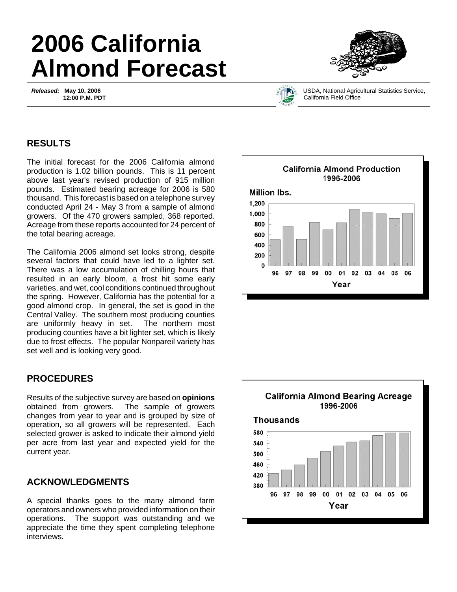# **2006 California Almond Forecast**

*Released:* **May 10, 2006 12:00 P.M. PDT**





USDA, National Agricultural Statistics Service, California Field Office

### **RESULTS**

The initial forecast for the 2006 California almond production is 1.02 billion pounds. This is 11 percent above last year's revised production of 915 million pounds. Estimated bearing acreage for 2006 is 580 thousand. This forecast is based on a telephone survey conducted April 24 - May 3 from a sample of almond growers. Of the 470 growers sampled, 368 reported. Acreage from these reports accounted for 24 percent of the total bearing acreage.

The California 2006 almond set looks strong, despite several factors that could have led to a lighter set. There was a low accumulation of chilling hours that resulted in an early bloom, a frost hit some early varieties, and wet, cool conditions continued throughout the spring. However, California has the potential for a good almond crop. In general, the set is good in the Central Valley. The southern most producing counties are uniformly heavy in set. The northern most producing counties have a bit lighter set, which is likely due to frost effects. The popular Nonpareil variety has set well and is looking very good.

## **PROCEDURES**

Results of the subjective survey are based on **opinions** obtained from growers. The sample of growers changes from year to year and is grouped by size of operation, so all growers will be represented. Each selected grower is asked to indicate their almond yield per acre from last year and expected yield for the current year.

## **ACKNOWLEDGMENTS**

A special thanks goes to the many almond farm operators and owners who provided information on their operations. The support was outstanding and we appreciate the time they spent completing telephone interviews.